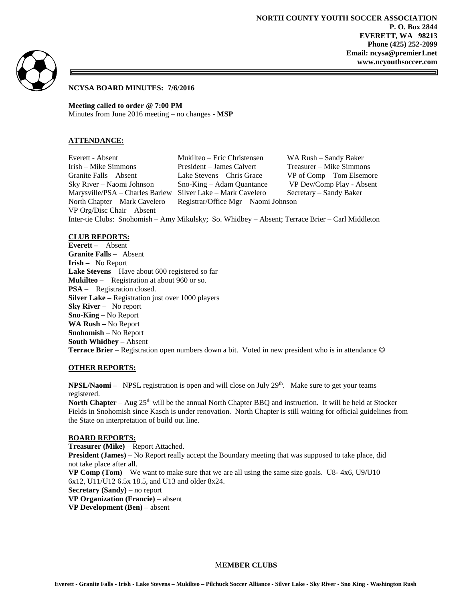

## **NCYSA BOARD MINUTES: 7/6/2016**

**Meeting called to order @ 7:00 PM** Minutes from June 2016 meeting – no changes - **MSP**

### **ATTENDANCE:**

Everett - Absent Mukilteo – Eric Christensen WA Rush – Sandy Baker Irish – Mike Simmons President – James Calvert Treasurer – Mike Simmons Granite Falls – Absent Lake Stevens – Chris Grace VP of Comp – Tom Elsemore Sky River – Naomi Johnson Sno-King – Adam Quantance VP Dev/Comp Play - Absent Marysville/PSA – Charles Barlew Silver Lake – Mark Cavelero Secretary – Sandy Baker North Chapter – Mark Cavelero Registrar/Office Mgr – Naomi Johnson VP Org/Disc Chair – Absent

Inter-tie Clubs: Snohomish – Amy Mikulsky; So. Whidbey – Absent; Terrace Brier – Carl Middleton

#### **CLUB REPORTS:**

**Everett –** Absent **Granite Falls –** Absent **Irish –** No Report **Lake Stevens** – Have about 600 registered so far **Mukilteo** – Registration at about 960 or so. **PSA** – Registration closed. **Silver Lake –** Registration just over 1000 players **Sky River** – No report **Sno-King –** No Report **WA Rush –** No Report **Snohomish** – No Report **South Whidbey –** Absent **Terrace Brier** – Registration open numbers down a bit. Voted in new president who is in attendance

### **OTHER REPORTS:**

**NPSL/Naomi** – NPSL registration is open and will close on July 29<sup>th</sup>. Make sure to get your teams registered.

**North Chapter** – Aug 25<sup>th</sup> will be the annual North Chapter BBQ and instruction. It will be held at Stocker Fields in Snohomish since Kasch is under renovation. North Chapter is still waiting for official guidelines from the State on interpretation of build out line.

### **BOARD REPORTS:**

**Treasurer (Mike)** – Report Attached. **President (James)** – No Report really accept the Boundary meeting that was supposed to take place, did not take place after all. **VP Comp (Tom)** – We want to make sure that we are all using the same size goals. U8- 4x6, U9/U10 6x12, U11/U12 6.5x 18.5, and U13 and older 8x24. **Secretary (Sandy)** – no report **VP Organization (Francie)** – absent **VP Development (Ben) –** absent

### M**EMBER CLUBS**